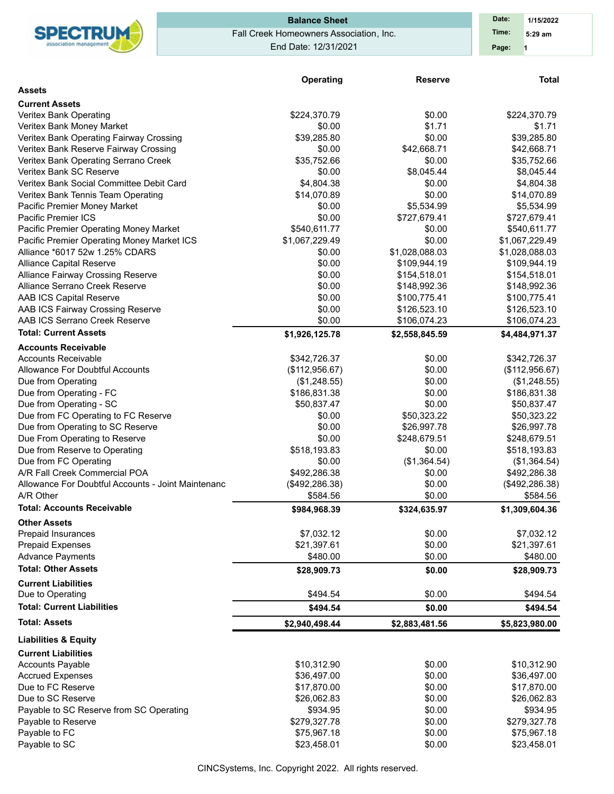| SPECTRUM              |
|-----------------------|
|                       |
| association managemen |

# Fall Creek Homeowners Association, Inc. End Date: 12/31/2021 **Balance Sheet Date: Date:**

**1 Time: 5:29 am 1/15/2022 Page:**

|                                                    | Operating       | <b>Reserve</b> | <b>Total</b>    |
|----------------------------------------------------|-----------------|----------------|-----------------|
| <b>Assets</b>                                      |                 |                |                 |
| <b>Current Assets</b>                              |                 |                |                 |
| Veritex Bank Operating                             | \$224,370.79    | \$0.00         | \$224,370.79    |
| Veritex Bank Money Market                          | \$0.00          | \$1.71         | \$1.71          |
| Veritex Bank Operating Fairway Crossing            | \$39,285.80     | \$0.00         | \$39,285.80     |
| Veritex Bank Reserve Fairway Crossing              | \$0.00          | \$42,668.71    | \$42,668.71     |
| Veritex Bank Operating Serrano Creek               | \$35,752.66     | \$0.00         | \$35,752.66     |
| Veritex Bank SC Reserve                            | \$0.00          | \$8,045.44     | \$8,045.44      |
| Veritex Bank Social Committee Debit Card           | \$4,804.38      | \$0.00         | \$4,804.38      |
| Veritex Bank Tennis Team Operating                 | \$14,070.89     | \$0.00         | \$14,070.89     |
| Pacific Premier Money Market                       | \$0.00          | \$5,534.99     | \$5,534.99      |
| Pacific Premier ICS                                | \$0.00          | \$727,679.41   | \$727,679.41    |
| Pacific Premier Operating Money Market             | \$540,611.77    | \$0.00         | \$540,611.77    |
| Pacific Premier Operating Money Market ICS         | \$1,067,229.49  | \$0.00         | \$1,067,229.49  |
| Alliance *6017 52w 1.25% CDARS                     | \$0.00          | \$1,028,088.03 | \$1,028,088.03  |
| <b>Alliance Capital Reserve</b>                    | \$0.00          | \$109,944.19   | \$109,944.19    |
| <b>Alliance Fairway Crossing Reserve</b>           | \$0.00          | \$154,518.01   | \$154,518.01    |
| Alliance Serrano Creek Reserve                     | \$0.00          | \$148,992.36   | \$148,992.36    |
| AAB ICS Capital Reserve                            | \$0.00          | \$100,775.41   | \$100,775.41    |
| AAB ICS Fairway Crossing Reserve                   | \$0.00          | \$126,523.10   | \$126,523.10    |
| AAB ICS Serrano Creek Reserve                      | \$0.00          | \$106,074.23   | \$106,074.23    |
| <b>Total: Current Assets</b>                       | \$1,926,125.78  | \$2,558,845.59 | \$4,484,971.37  |
| <b>Accounts Receivable</b>                         |                 |                |                 |
| <b>Accounts Receivable</b>                         | \$342,726.37    | \$0.00         | \$342,726.37    |
| Allowance For Doubtful Accounts                    | (\$112,956.67)  | \$0.00         | (\$112,956.67)  |
| Due from Operating                                 | (\$1,248.55)    | \$0.00         | (\$1,248.55)    |
| Due from Operating - FC                            | \$186,831.38    | \$0.00         | \$186,831.38    |
| Due from Operating - SC                            | \$50,837.47     | \$0.00         | \$50,837.47     |
| Due from FC Operating to FC Reserve                | \$0.00          | \$50,323.22    | \$50,323.22     |
| Due from Operating to SC Reserve                   | \$0.00          | \$26,997.78    | \$26,997.78     |
| Due From Operating to Reserve                      | \$0.00          | \$248,679.51   | \$248,679.51    |
| Due from Reserve to Operating                      | \$518,193.83    | \$0.00         | \$518,193.83    |
| Due from FC Operating                              | \$0.00          | (\$1,364.54)   | (\$1,364.54)    |
| A/R Fall Creek Commercial POA                      | \$492,286.38    | \$0.00         | \$492,286.38    |
| Allowance For Doubtful Accounts - Joint Maintenanc | (\$492, 286.38) | \$0.00         | (\$492, 286.38) |
| A/R Other                                          | \$584.56        | \$0.00         | \$584.56        |
| <b>Total: Accounts Receivable</b>                  | \$984,968.39    | \$324,635.97   | \$1,309,604.36  |
| <b>Other Assets</b>                                |                 |                |                 |
| <b>Prepaid Insurances</b>                          | \$7,032.12      | \$0.00         | \$7,032.12      |
| <b>Prepaid Expenses</b>                            | \$21,397.61     | \$0.00         | \$21,397.61     |
| <b>Advance Payments</b>                            | \$480.00        | \$0.00         | \$480.00        |
| <b>Total: Other Assets</b>                         | \$28,909.73     | \$0.00         | \$28,909.73     |
| <b>Current Liabilities</b>                         |                 |                |                 |
| Due to Operating                                   | \$494.54        | \$0.00         | \$494.54        |
| <b>Total: Current Liabilities</b>                  | \$494.54        | \$0.00         | \$494.54        |
| <b>Total: Assets</b>                               | \$2,940,498.44  | \$2,883,481.56 | \$5,823,980.00  |
| <b>Liabilities &amp; Equity</b>                    |                 |                |                 |
| <b>Current Liabilities</b>                         |                 |                |                 |
| <b>Accounts Payable</b>                            | \$10,312.90     | \$0.00         | \$10,312.90     |
| <b>Accrued Expenses</b>                            | \$36,497.00     | \$0.00         | \$36,497.00     |
| Due to FC Reserve                                  | \$17,870.00     | \$0.00         | \$17,870.00     |
| Due to SC Reserve                                  | \$26,062.83     | \$0.00         | \$26,062.83     |
| Payable to SC Reserve from SC Operating            | \$934.95        | \$0.00         | \$934.95        |
| Payable to Reserve                                 | \$279,327.78    | \$0.00         | \$279,327.78    |
| Payable to FC                                      | \$75,967.18     | \$0.00         | \$75,967.18     |
| Payable to SC                                      | \$23,458.01     | \$0.00         | \$23,458.01     |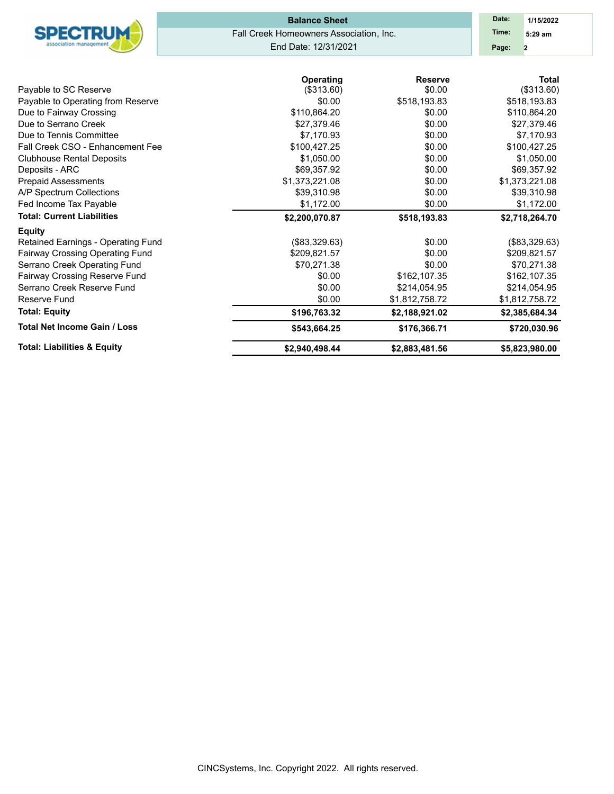| Fall Creek CSO - Enhancement Fee<br><b>Clubhouse Rental Deposits</b> | \$100,427.25<br>\$1,050.00 | \$0.00<br>\$0.00 | \$100,427.25<br>\$1,050.00 |
|----------------------------------------------------------------------|----------------------------|------------------|----------------------------|
| Deposits - ARC                                                       | \$69,357.92                | \$0.00           | \$69,357.92                |
| <b>Prepaid Assessments</b>                                           | \$1,373,221.08             | \$0.00           | \$1,373,221.08             |
| A/P Spectrum Collections                                             | \$39,310.98                | \$0.00           | \$39,310.98                |
| Fed Income Tax Payable                                               | \$1,172.00                 | \$0.00           | \$1,172.00                 |
| <b>Total: Current Liabilities</b>                                    | \$2,200,070.87             | \$518,193.83     | \$2,718,264.70             |
| <b>Equity</b>                                                        |                            |                  |                            |
| Retained Earnings - Operating Fund                                   | (\$83,329.63)              | \$0.00           | (\$83,329.63)              |
| Fairway Crossing Operating Fund                                      | \$209,821.57               | \$0.00           | \$209,821.57               |
| Serrano Creek Operating Fund                                         | \$70,271.38                | \$0.00           | \$70,271.38                |
| <b>Fairway Crossing Reserve Fund</b>                                 | \$0.00                     | \$162,107.35     | \$162,107.35               |
| Serrano Creek Reserve Fund                                           | \$0.00                     | \$214,054.95     | \$214,054.95               |
| Reserve Fund                                                         | \$0.00                     | \$1,812,758.72   | \$1,812,758.72             |
| <b>Total: Equity</b>                                                 | \$196,763.32               | \$2,188,921.02   | \$2,385,684.34             |
| <b>Total Net Income Gain / Loss</b>                                  | \$543,664.25               | \$176,366.71     | \$720,030.96               |
| <b>Total: Liabilities &amp; Equity</b>                               | \$2,940,498.44             | \$2,883,481.56   | \$5,823,980.00             |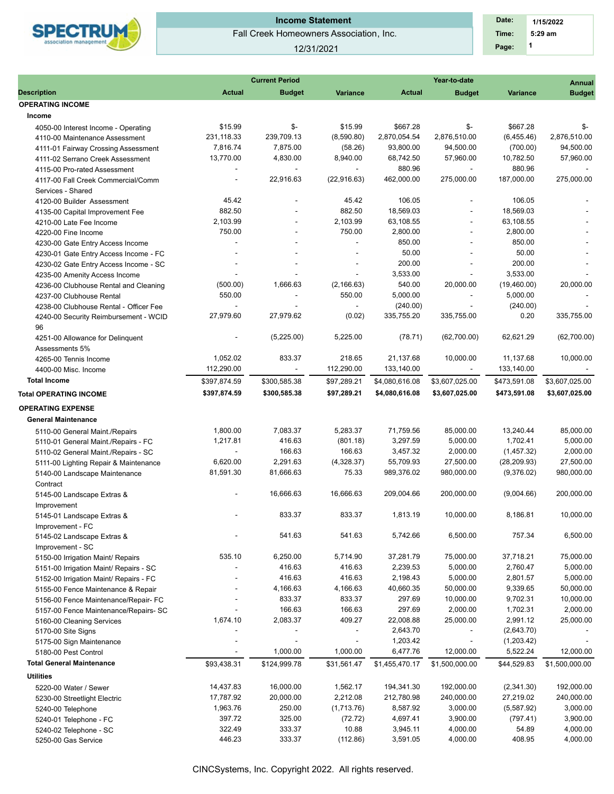

# **Income Statement**

Fall Creek Homeowners Association, Inc.

#### 12/31/2021

 **1 Time: 5:29 am 1/15/2022 Date: Page:**

|                                        |                | <b>Current Period</b> |                          |                | Annual                   |              |                |
|----------------------------------------|----------------|-----------------------|--------------------------|----------------|--------------------------|--------------|----------------|
| <b>Description</b>                     | <b>Actual</b>  | <b>Budget</b>         | Variance                 | <b>Actual</b>  | <b>Budget</b>            | Variance     | <b>Budget</b>  |
| <b>OPERATING INCOME</b>                |                |                       |                          |                |                          |              |                |
| Income                                 |                |                       |                          |                |                          |              |                |
| 4050-00 Interest Income - Operating    | \$15.99        | \$-                   | \$15.99                  | \$667.28       | $\mathsf{S}$ -           | \$667.28     | $\mathsf{S}$ - |
| 4110-00 Maintenance Assessment         | 231,118.33     | 239,709.13            | (8,590.80)               | 2,870,054.54   | 2,876,510.00             | (6,455.46)   | 2,876,510.00   |
| 4111-01 Fairway Crossing Assessment    | 7,816.74       | 7,875.00              | (58.26)                  | 93,800.00      | 94,500.00                | (700.00)     | 94,500.00      |
| 4111-02 Serrano Creek Assessment       | 13,770.00      | 4,830.00              | 8,940.00                 | 68,742.50      | 57,960.00                | 10,782.50    | 57,960.00      |
| 4115-00 Pro-rated Assessment           |                |                       |                          | 880.96         | $\overline{\phantom{a}}$ | 880.96       |                |
| 4117-00 Fall Creek Commercial/Comm     | $\blacksquare$ | 22,916.63             | (22, 916.63)             | 462,000.00     | 275,000.00               | 187.000.00   | 275,000.00     |
| Services - Shared                      |                |                       |                          |                |                          |              |                |
| 4120-00 Builder Assessment             | 45.42          |                       | 45.42                    | 106.05         |                          | 106.05       |                |
| 4135-00 Capital Improvement Fee        | 882.50         |                       | 882.50                   | 18,569.03      |                          | 18,569.03    |                |
| 4210-00 Late Fee Income                | 2,103.99       |                       | 2,103.99                 | 63,108.55      |                          | 63,108.55    |                |
| 4220-00 Fine Income                    | 750.00         |                       | 750.00                   | 2,800.00       | $\overline{\phantom{a}}$ | 2,800.00     |                |
| 4230-00 Gate Entry Access Income       |                |                       |                          | 850.00         |                          | 850.00       |                |
| 4230-01 Gate Entry Access Income - FC  |                |                       |                          | 50.00          |                          | 50.00        |                |
| 4230-02 Gate Entry Access Income - SC  |                |                       |                          | 200.00         |                          | 200.00       |                |
| 4235-00 Amenity Access Income          |                |                       |                          | 3,533.00       | $\overline{\phantom{a}}$ | 3,533.00     |                |
| 4236-00 Clubhouse Rental and Cleaning  | (500.00)       | 1,666.63              | (2, 166.63)              | 540.00         | 20,000.00                | (19,460.00)  | 20,000.00      |
| 4237-00 Clubhouse Rental               | 550.00         |                       | 550.00                   | 5,000.00       | ÷,                       | 5,000.00     |                |
| 4238-00 Clubhouse Rental - Officer Fee |                |                       | $\sim$                   | (240.00)       | $\overline{\phantom{a}}$ | (240.00)     |                |
|                                        | 27,979.60      | 27,979.62             | (0.02)                   | 335,755.20     | 335,755.00               | 0.20         | 335,755.00     |
| 4240-00 Security Reimbursement - WCID  |                |                       |                          |                |                          |              |                |
| 96                                     |                |                       | 5,225.00                 |                |                          | 62,621.29    |                |
| 4251-00 Allowance for Delinguent       |                | (5,225.00)            |                          | (78.71)        | (62,700.00)              |              | (62,700.00)    |
| Assessments 5%                         |                |                       | 218.65                   |                |                          |              |                |
| 4265-00 Tennis Income                  | 1,052.02       | 833.37                |                          | 21,137.68      | 10,000.00                | 11,137.68    | 10,000.00      |
| 4400-00 Misc. Income                   | 112,290.00     |                       | 112,290.00               | 133,140.00     |                          | 133,140.00   |                |
| <b>Total Income</b>                    | \$397,874.59   | \$300,585.38          | \$97,289.21              | \$4,080,616.08 | \$3,607,025.00           | \$473,591.08 | \$3,607,025.00 |
| <b>Total OPERATING INCOME</b>          | \$397,874.59   | \$300,585.38          | \$97,289.21              | \$4,080,616.08 | \$3,607,025.00           | \$473,591.08 | \$3,607,025.00 |
| <b>OPERATING EXPENSE</b>               |                |                       |                          |                |                          |              |                |
| <b>General Maintenance</b>             |                |                       |                          |                |                          |              |                |
| 5110-00 General Maint./Repairs         | 1,800.00       | 7,083.37              | 5,283.37                 | 71,759.56      | 85,000.00                | 13,240.44    | 85,000.00      |
| 5110-01 General Maint./Repairs - FC    | 1,217.81       | 416.63                | (801.18)                 | 3,297.59       | 5,000.00                 | 1,702.41     | 5,000.00       |
| 5110-02 General Maint./Repairs - SC    |                | 166.63                | 166.63                   | 3,457.32       | 2,000.00                 | (1,457.32)   | 2,000.00       |
| 5111-00 Lighting Repair & Maintenance  | 6,620.00       | 2,291.63              | (4,328.37)               | 55,709.93      | 27,500.00                | (28, 209.93) | 27,500.00      |
| 5140-00 Landscape Maintenance          | 81,591.30      | 81,666.63             | 75.33                    | 989,376.02     | 980,000.00               | (9,376.02)   | 980,000.00     |
| Contract                               |                |                       |                          |                |                          |              |                |
|                                        |                | 16,666.63             | 16,666.63                | 209,004.66     | 200,000.00               | (9,004.66)   | 200,000.00     |
| 5145-00 Landscape Extras &             |                |                       |                          |                |                          |              |                |
| Improvement                            |                | 833.37                | 833.37                   | 1,813.19       | 10,000.00                | 8,186.81     | 10,000.00      |
| 5145-01 Landscape Extras &             |                |                       |                          |                |                          |              |                |
| Improvement - FC                       |                |                       |                          |                |                          |              |                |
| 5145-02 Landscape Extras &             |                | 541.63                | 541.63                   | 5,742.66       | 6,500.00                 | 757.34       | 6,500.00       |
| Improvement - SC                       |                |                       |                          |                |                          |              |                |
| 5150-00 Irrigation Maint/ Repairs      | 535.10         | 6,250.00              | 5,714.90                 | 37,281.79      | 75,000.00                | 37,718.21    | 75,000.00      |
| 5151-00 Irrigation Maint/ Repairs - SC |                | 416.63                | 416.63                   | 2,239.53       | 5,000.00                 | 2,760.47     | 5,000.00       |
| 5152-00 Irrigation Maint/ Repairs - FC |                | 416.63                | 416.63                   | 2,198.43       | 5,000.00                 | 2,801.57     | 5,000.00       |
| 5155-00 Fence Maintenance & Repair     |                | 4,166.63              | 4,166.63                 | 40,660.35      | 50,000.00                | 9,339.65     | 50,000.00      |
| 5156-00 Fence Maintenance/Repair- FC   |                | 833.37                | 833.37                   | 297.69         | 10,000.00                | 9,702.31     | 10,000.00      |
| 5157-00 Fence Maintenance/Repairs- SC  |                | 166.63                | 166.63                   | 297.69         | 2,000.00                 | 1,702.31     | 2,000.00       |
| 5160-00 Cleaning Services              | 1,674.10       | 2,083.37              | 409.27                   | 22,008.88      | 25,000.00                | 2,991.12     | 25,000.00      |
| 5170-00 Site Signs                     |                |                       | $\overline{\phantom{a}}$ | 2,643.70       | $\overline{\phantom{a}}$ | (2,643.70)   |                |
| 5175-00 Sign Maintenance               |                |                       |                          | 1,203.42       | $\overline{\phantom{a}}$ | (1,203.42)   |                |
| 5180-00 Pest Control                   |                | 1,000.00              | 1,000.00                 | 6,477.76       | 12,000.00                | 5,522.24     | 12,000.00      |
| <b>Total General Maintenance</b>       | \$93,438.31    | \$124,999.78          | \$31,561.47              | \$1,455,470.17 | \$1,500,000.00           | \$44,529.83  | \$1,500,000.00 |
| <b>Utilities</b>                       |                |                       |                          |                |                          |              |                |
| 5220-00 Water / Sewer                  | 14,437.83      | 16,000.00             | 1,562.17                 | 194,341.30     | 192,000.00               | (2,341.30)   | 192,000.00     |
| 5230-00 Streetlight Electric           | 17,787.92      | 20,000.00             | 2,212.08                 | 212,780.98     | 240,000.00               | 27,219.02    | 240,000.00     |
| 5240-00 Telephone                      | 1,963.76       | 250.00                | (1,713.76)               | 8,587.92       | 3,000.00                 | (5,587.92)   | 3,000.00       |
| 5240-01 Telephone - FC                 | 397.72         | 325.00                | (72.72)                  | 4,697.41       | 3,900.00                 | (797.41)     | 3,900.00       |
| 5240-02 Telephone - SC                 | 322.49         | 333.37                | 10.88                    | 3,945.11       | 4,000.00                 | 54.89        | 4,000.00       |
| 5250-00 Gas Service                    | 446.23         | 333.37                | (112.86)                 | 3,591.05       | 4,000.00                 | 408.95       | 4,000.00       |
|                                        |                |                       |                          |                |                          |              |                |
|                                        |                |                       |                          |                |                          |              |                |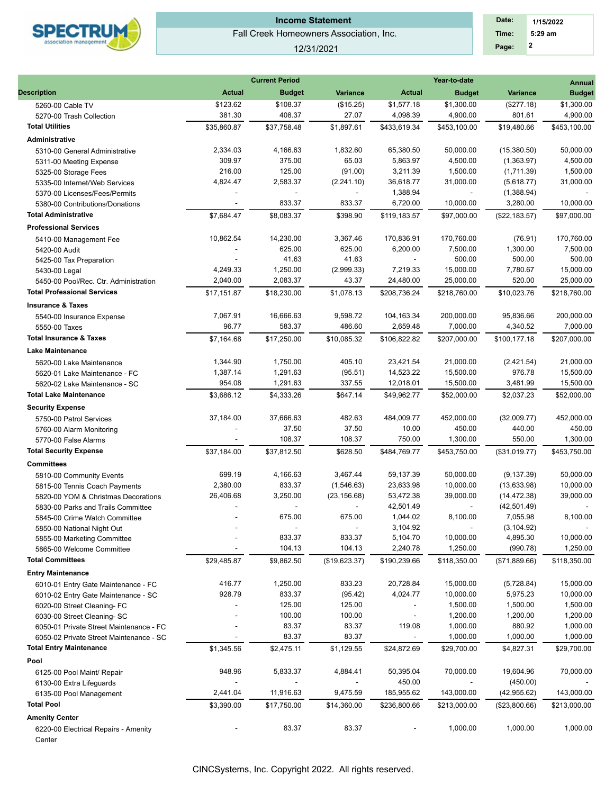

# Fall Creek Homeowners Association, Inc. **Income Statement**

#### 12/31/2021

| Date: | 1/15/2022 |  |
|-------|-----------|--|
| Time: | $5:29$ am |  |
| Page: | 2         |  |

|                                                        |                       | <b>Current Period</b> |                            | Year-to-date<br><b>Annual</b> |                             |                             |                        |  |  |
|--------------------------------------------------------|-----------------------|-----------------------|----------------------------|-------------------------------|-----------------------------|-----------------------------|------------------------|--|--|
| <b>Description</b>                                     | <b>Actual</b>         | <b>Budget</b>         | <b>Variance</b>            | <b>Actual</b>                 | <b>Budget</b>               | <b>Variance</b>             | <b>Budget</b>          |  |  |
| 5260-00 Cable TV                                       | \$123.62              | \$108.37              | (\$15.25)                  | \$1,577.18                    | \$1,300.00                  | (\$277.18)                  | \$1,300.00             |  |  |
| 5270-00 Trash Collection                               | 381.30                | 408.37                | 27.07                      | 4,098.39                      | 4,900.00                    | 801.61                      | 4,900.00               |  |  |
| <b>Total Utilities</b>                                 | \$35,860.87           | \$37,758.48           | \$1,897.61                 | \$433.619.34                  | \$453,100.00                | \$19,480.66                 | \$453,100.00           |  |  |
| Administrative                                         |                       |                       |                            |                               |                             |                             |                        |  |  |
| 5310-00 General Administrative                         | 2,334.03              | 4,166.63              | 1,832.60                   | 65,380.50                     | 50,000.00                   | (15,380.50)                 | 50,000.00              |  |  |
| 5311-00 Meeting Expense                                | 309.97                | 375.00                | 65.03                      | 5,863.97                      | 4,500.00                    | (1,363.97)                  | 4,500.00               |  |  |
| 5325-00 Storage Fees                                   | 216.00                | 125.00                | (91.00)                    | 3,211.39                      | 1,500.00                    | (1,711.39)                  | 1,500.00               |  |  |
| 5335-00 Internet/Web Services                          | 4,824.47              | 2,583.37              | (2, 241.10)                | 36,618.77                     | 31,000.00                   | (5,618.77)                  | 31,000.00              |  |  |
| 5370-00 Licenses/Fees/Permits                          |                       |                       |                            | 1,388.94                      | $\mathcal{L}_{\mathcal{A}}$ | (1,388.94)                  |                        |  |  |
| 5380-00 Contributions/Donations                        | $\blacksquare$        | 833.37                | 833.37                     | 6,720.00                      | 10,000.00                   | 3,280.00                    | 10,000.00              |  |  |
| <b>Total Administrative</b>                            | \$7,684.47            | \$8,083.37            | \$398.90                   | \$119,183.57                  | \$97,000.00                 | (\$22,183.57)               | \$97,000.00            |  |  |
| <b>Professional Services</b>                           |                       |                       |                            |                               |                             |                             |                        |  |  |
|                                                        | 10,862.54             | 14,230.00             | 3,367.46                   | 170,836.91                    | 170,760.00                  | (76.91)                     | 170,760.00             |  |  |
| 5410-00 Management Fee<br>5420-00 Audit                |                       | 625.00                | 625.00                     | 6,200.00                      | 7,500.00                    | 1,300.00                    | 7,500.00               |  |  |
| 5425-00 Tax Preparation                                |                       | 41.63                 | 41.63                      |                               | 500.00                      | 500.00                      | 500.00                 |  |  |
|                                                        | 4.249.33              | 1,250.00              | (2,999.33)                 | 7,219.33                      | 15,000.00                   | 7,780.67                    | 15,000.00              |  |  |
| 5430-00 Legal<br>5450-00 Pool/Rec. Ctr. Administration | 2,040.00              | 2,083.37              | 43.37                      | 24,480.00                     | 25,000.00                   | 520.00                      | 25,000.00              |  |  |
| <b>Total Professional Services</b>                     |                       |                       |                            |                               |                             |                             |                        |  |  |
|                                                        | \$17,151.87           | \$18,230.00           | \$1,078.13                 | \$208,736.24                  | \$218,760.00                | \$10,023.76                 | \$218,760.00           |  |  |
| <b>Insurance &amp; Taxes</b>                           |                       |                       |                            |                               |                             |                             |                        |  |  |
| 5540-00 Insurance Expense                              | 7,067.91              | 16,666.63             | 9,598.72                   | 104,163.34                    | 200,000.00                  | 95,836.66                   | 200,000.00             |  |  |
| 5550-00 Taxes                                          | 96.77                 | 583.37                | 486.60                     | 2,659.48                      | 7,000.00                    | 4,340.52                    | 7,000.00               |  |  |
| <b>Total Insurance &amp; Taxes</b>                     | \$7,164.68            | \$17,250.00           | \$10,085.32                | \$106,822.82                  | \$207.000.00                | \$100,177.18                | \$207,000.00           |  |  |
| <b>Lake Maintenance</b>                                |                       |                       |                            |                               |                             |                             |                        |  |  |
| 5620-00 Lake Maintenance                               | 1,344.90              | 1,750.00              | 405.10                     | 23,421.54                     | 21,000.00                   | (2,421.54)                  | 21,000.00              |  |  |
| 5620-01 Lake Maintenance - FC                          | 1,387.14              | 1,291.63              | (95.51)                    | 14,523.22                     | 15,500.00                   | 976.78                      | 15,500.00              |  |  |
| 5620-02 Lake Maintenance - SC                          | 954.08                | 1,291.63              | 337.55                     | 12,018.01                     | 15,500.00                   | 3,481.99                    | 15,500.00              |  |  |
| <b>Total Lake Maintenance</b>                          | \$3,686.12            | \$4,333.26            | \$647.14                   | \$49,962.77                   | \$52,000.00                 | \$2,037.23                  | \$52,000.00            |  |  |
| <b>Security Expense</b>                                |                       |                       |                            |                               |                             |                             |                        |  |  |
| 5750-00 Patrol Services                                | 37,184.00             | 37,666.63             | 482.63                     | 484,009.77                    | 452,000.00                  | (32,009.77)                 | 452,000.00             |  |  |
| 5760-00 Alarm Monitoring                               |                       | 37.50                 | 37.50                      | 10.00                         | 450.00                      | 440.00                      | 450.00                 |  |  |
| 5770-00 False Alarms                                   |                       | 108.37                | 108.37                     | 750.00                        | 1,300.00                    | 550.00                      | 1,300.00               |  |  |
| <b>Total Security Expense</b>                          | \$37,184.00           | \$37,812.50           | \$628.50                   | \$484,769.77                  | \$453,750.00                | (\$31,019.77)               | \$453,750.00           |  |  |
|                                                        |                       |                       |                            |                               |                             |                             |                        |  |  |
| <b>Committees</b>                                      | 699.19                |                       | 3,467.44                   |                               |                             |                             |                        |  |  |
| 5810-00 Community Events                               |                       | 4,166.63              |                            | 59,137.39                     | 50,000.00                   | (9, 137.39)                 | 50,000.00              |  |  |
| 5815-00 Tennis Coach Payments                          | 2,380.00<br>26,406.68 | 833.37<br>3,250.00    | (1,546.63)<br>(23, 156.68) | 23,633.98<br>53,472.38        | 10,000.00<br>39,000.00      | (13,633.98)<br>(14, 472.38) | 10,000.00<br>39,000.00 |  |  |
| 5820-00 YOM & Christmas Decorations                    |                       |                       |                            | 42,501.49                     | $\overline{\phantom{a}}$    | (42, 501.49)                |                        |  |  |
| 5830-00 Parks and Trails Committee                     |                       | 675.00                | 675.00                     | 1,044.02                      | 8,100.00                    | 7,055.98                    | 8,100.00               |  |  |
| 5845-00 Crime Watch Committee                          |                       |                       |                            | 3,104.92                      |                             | (3, 104.92)                 |                        |  |  |
| 5850-00 National Night Out                             |                       | 833.37                | 833.37                     | 5,104.70                      | 10,000.00                   | 4,895.30                    | 10,000.00              |  |  |
| 5855-00 Marketing Committee                            |                       | 104.13                | 104.13                     | 2,240.78                      | 1,250.00                    | (990.78)                    | 1,250.00               |  |  |
| 5865-00 Welcome Committee                              |                       |                       |                            |                               |                             |                             |                        |  |  |
| <b>Total Committees</b>                                | \$29,485.87           | \$9,862.50            | (\$19,623.37)              | \$190,239.66                  | \$118,350.00                | (\$71,889.66)               | \$118,350.00           |  |  |
| <b>Entry Maintenance</b>                               |                       |                       |                            |                               |                             |                             |                        |  |  |
| 6010-01 Entry Gate Maintenance - FC                    | 416.77                | 1,250.00              | 833.23                     | 20,728.84                     | 15,000.00                   | (5,728.84)                  | 15,000.00              |  |  |
| 6010-02 Entry Gate Maintenance - SC                    | 928.79                | 833.37                | (95.42)                    | 4,024.77                      | 10,000.00                   | 5,975.23                    | 10,000.00              |  |  |
| 6020-00 Street Cleaning- FC                            |                       | 125.00                | 125.00                     |                               | 1,500.00                    | 1,500.00                    | 1,500.00               |  |  |
| 6030-00 Street Cleaning- SC                            |                       | 100.00                | 100.00                     |                               | 1,200.00                    | 1,200.00                    | 1,200.00               |  |  |
| 6050-01 Private Street Maintenance - FC                |                       | 83.37                 | 83.37                      | 119.08                        | 1,000.00                    | 880.92                      | 1,000.00               |  |  |
| 6050-02 Private Street Maintenance - SC                |                       | 83.37                 | 83.37                      | $\overline{\phantom{a}}$      | 1,000.00                    | 1,000.00                    | 1,000.00               |  |  |
| <b>Total Entry Maintenance</b>                         | \$1,345.56            | \$2,475.11            | \$1,129.55                 | \$24,872.69                   | \$29,700.00                 | \$4,827.31                  | \$29,700.00            |  |  |
| Pool                                                   |                       |                       |                            |                               |                             |                             |                        |  |  |
| 6125-00 Pool Maint/ Repair                             | 948.96                | 5,833.37              | 4,884.41                   | 50,395.04                     | 70,000.00                   | 19,604.96                   | 70,000.00              |  |  |
| 6130-00 Extra Lifeguards                               |                       |                       |                            | 450.00                        |                             | (450.00)                    |                        |  |  |
| 6135-00 Pool Management                                | 2,441.04              | 11,916.63             | 9,475.59                   | 185,955.62                    | 143,000.00                  | (42, 955.62)                | 143,000.00             |  |  |
| <b>Total Pool</b>                                      | \$3,390.00            | \$17,750.00           | \$14,360.00                | \$236,800.66                  | \$213,000.00                | (\$23,800.66)               | \$213,000.00           |  |  |
| <b>Amenity Center</b>                                  |                       |                       |                            |                               |                             |                             |                        |  |  |
| 6220-00 Electrical Repairs - Amenity<br>Center         |                       | 83.37                 | 83.37                      |                               | 1,000.00                    | 1,000.00                    | 1,000.00               |  |  |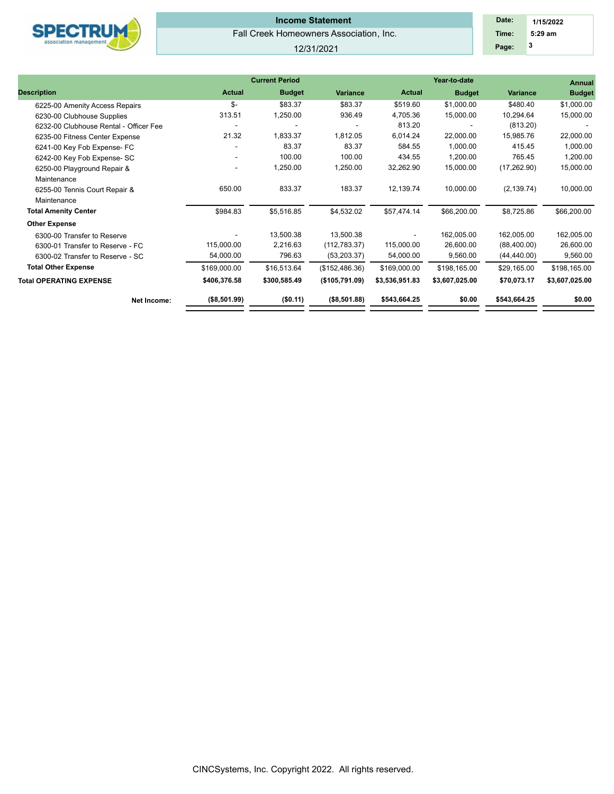

# Fall Creek Homeowners Association, Inc. **Income Statement**

#### 12/31/2021

| Date: | 1/15/2022 |  |
|-------|-----------|--|
| Time: | $5:29$ am |  |
| Page: | 3         |  |

|                                        |                          | <b>Current Period</b> |                 |                | Annual         |              |                |
|----------------------------------------|--------------------------|-----------------------|-----------------|----------------|----------------|--------------|----------------|
| <b>Description</b>                     | <b>Actual</b>            | <b>Budget</b>         | <b>Variance</b> | <b>Actual</b>  | <b>Budget</b>  | Variance     | <b>Budget</b>  |
| 6225-00 Amenity Access Repairs         | \$-                      | \$83.37               | \$83.37         | \$519.60       | \$1,000.00     | \$480.40     | \$1,000.00     |
| 6230-00 Clubhouse Supplies             | 313.51                   | 1,250.00              | 936.49          | 4,705.36       | 15,000.00      | 10,294.64    | 15,000.00      |
| 6232-00 Clubhouse Rental - Officer Fee |                          |                       |                 | 813.20         |                | (813.20)     |                |
| 6235-00 Fitness Center Expense         | 21.32                    | 1,833.37              | 1,812.05        | 6,014.24       | 22,000.00      | 15,985.76    | 22,000.00      |
| 6241-00 Key Fob Expense- FC            |                          | 83.37                 | 83.37           | 584.55         | 1,000.00       | 415.45       | 1,000.00       |
| 6242-00 Key Fob Expense- SC            | $\sim$                   | 100.00                | 100.00          | 434.55         | 1,200.00       | 765.45       | 1,200.00       |
| 6250-00 Playground Repair &            | $\overline{\phantom{a}}$ | 1,250.00              | 1,250.00        | 32,262.90      | 15,000.00      | (17, 262.90) | 15,000.00      |
| Maintenance                            |                          |                       |                 |                |                |              |                |
| 6255-00 Tennis Court Repair &          | 650.00                   | 833.37                | 183.37          | 12,139.74      | 10,000.00      | (2, 139.74)  | 10,000.00      |
| Maintenance                            |                          |                       |                 |                |                |              |                |
| <b>Total Amenity Center</b>            | \$984.83                 | \$5,516.85            | \$4,532.02      | \$57,474.14    | \$66,200.00    | \$8,725.86   | \$66,200.00    |
| <b>Other Expense</b>                   |                          |                       |                 |                |                |              |                |
| 6300-00 Transfer to Reserve            |                          | 13,500.38             | 13,500.38       | -              | 162,005.00     | 162,005.00   | 162,005.00     |
| 6300-01 Transfer to Reserve - FC       | 115,000.00               | 2,216.63              | (112, 783.37)   | 115,000.00     | 26,600.00      | (88,400.00)  | 26,600.00      |
| 6300-02 Transfer to Reserve - SC       | 54,000.00                | 796.63                | (53, 203.37)    | 54,000.00      | 9,560.00       | (44, 440.00) | 9,560.00       |
| <b>Total Other Expense</b>             | \$169,000.00             | \$16,513.64           | (\$152,486.36)  | \$169,000.00   | \$198,165.00   | \$29,165.00  | \$198,165.00   |
| <b>Total OPERATING EXPENSE</b>         | \$406,376.58             | \$300,585.49          | (\$105,791.09)  | \$3,536,951.83 | \$3,607,025.00 | \$70,073.17  | \$3,607,025.00 |
| Net Income:                            | (\$8,501.99)             | (\$0.11)              | (\$8,501.88)    | \$543,664.25   | \$0.00         | \$543,664.25 | \$0.00         |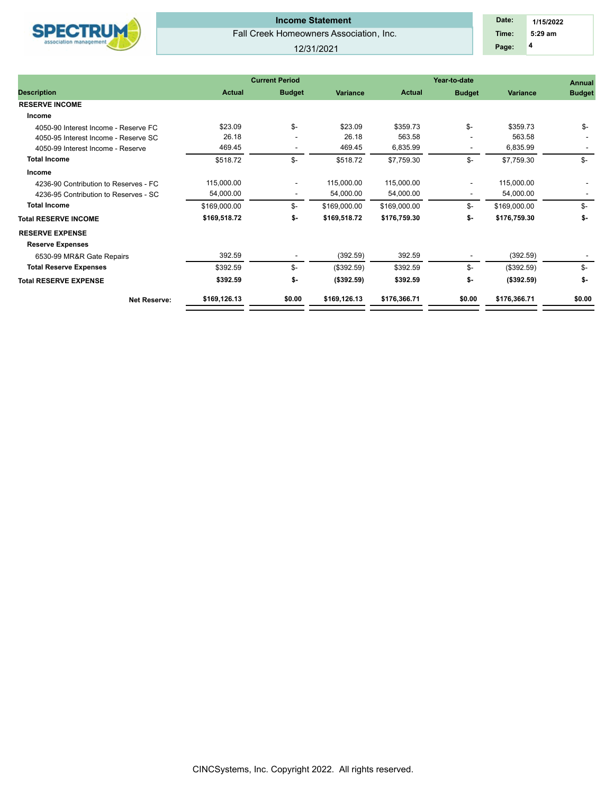

## Fall Creek Homeowners Association, Inc. **Income Statement**

#### 12/31/2021

 **4 Time: 5:29 am 1/15/2022 Date: Page:**

|                                       |               | <b>Current Period</b>    |              |               | Year-to-date             |                 | <b>Annual</b> |  |
|---------------------------------------|---------------|--------------------------|--------------|---------------|--------------------------|-----------------|---------------|--|
| <b>Description</b>                    | <b>Actual</b> | <b>Budget</b>            | Variance     | <b>Actual</b> | <b>Budget</b>            | <b>Variance</b> | <b>Budget</b> |  |
| <b>RESERVE INCOME</b>                 |               |                          |              |               |                          |                 |               |  |
| Income                                |               |                          |              |               |                          |                 |               |  |
| 4050-90 Interest Income - Reserve FC  | \$23.09       | \$-                      | \$23.09      | \$359.73      | \$-                      | \$359.73        | \$-           |  |
| 4050-95 Interest Income - Reserve SC  | 26.18         |                          | 26.18        | 563.58        |                          | 563.58          |               |  |
| 4050-99 Interest Income - Reserve     | 469.45        |                          | 469.45       | 6,835.99      |                          | 6,835.99        |               |  |
| <b>Total Income</b>                   | \$518.72      | \$-                      | \$518.72     | \$7,759.30    | \$-                      | \$7,759.30      | \$-           |  |
| Income                                |               |                          |              |               |                          |                 |               |  |
| 4236-90 Contribution to Reserves - FC | 115,000.00    | ٠                        | 115,000.00   | 115,000.00    |                          | 115,000.00      |               |  |
| 4236-95 Contribution to Reserves - SC | 54,000.00     | $\overline{\phantom{a}}$ | 54,000.00    | 54,000.00     | $\overline{\phantom{a}}$ | 54,000.00       |               |  |
| <b>Total Income</b>                   | \$169,000.00  | \$-                      | \$169,000.00 | \$169,000.00  | \$-                      | \$169,000.00    | \$-           |  |
| <b>Total RESERVE INCOME</b>           | \$169,518.72  | \$-                      | \$169,518.72 | \$176,759.30  | \$-                      | \$176,759.30    | \$-           |  |
| <b>RESERVE EXPENSE</b>                |               |                          |              |               |                          |                 |               |  |
| <b>Reserve Expenses</b>               |               |                          |              |               |                          |                 |               |  |
| 6530-99 MR&R Gate Repairs             | 392.59        |                          | (392.59)     | 392.59        |                          | (392.59)        |               |  |
| <b>Total Reserve Expenses</b>         | \$392.59      | \$-                      | (\$392.59)   | \$392.59      | \$-                      | (\$392.59)      | \$-           |  |
| <b>Total RESERVE EXPENSE</b>          | \$392.59      | \$-                      | (\$392.59)   | \$392.59      | \$-                      | (\$392.59)      | \$-           |  |
| <b>Net Reserve:</b>                   | \$169,126.13  | \$0.00                   | \$169,126.13 | \$176,366.71  | \$0.00                   | \$176,366.71    | \$0.00        |  |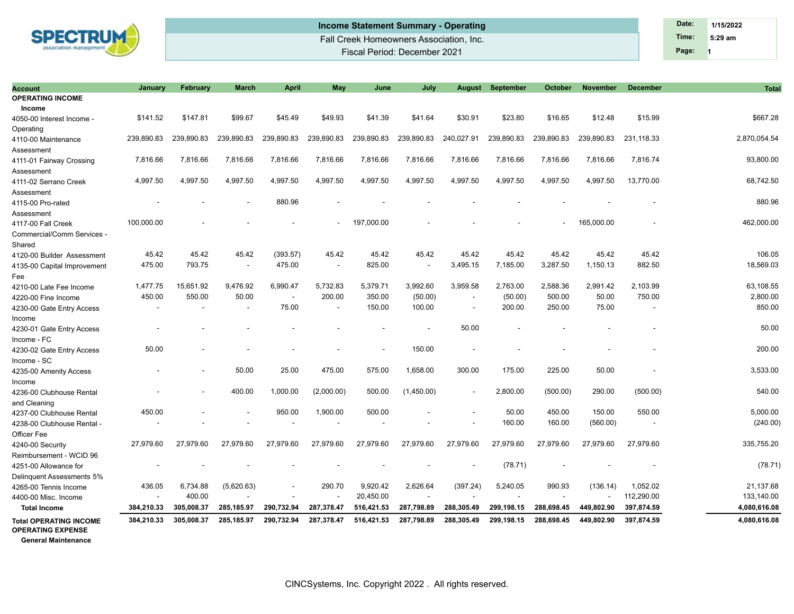

| <b>Account</b>                                                                          | Januarv                  | <b>February</b> | <b>March</b>             | <b>April</b>             | May                      | June       | July       |                          | <b>August September</b> | <b>October</b> | <b>November</b> | <b>December</b> | <b>Total</b> |
|-----------------------------------------------------------------------------------------|--------------------------|-----------------|--------------------------|--------------------------|--------------------------|------------|------------|--------------------------|-------------------------|----------------|-----------------|-----------------|--------------|
| <b>OPERATING INCOME</b>                                                                 |                          |                 |                          |                          |                          |            |            |                          |                         |                |                 |                 |              |
| Income                                                                                  |                          |                 |                          |                          |                          |            |            |                          |                         |                |                 |                 |              |
| 4050-00 Interest Income -                                                               | \$141.52                 | \$147.81        | \$99.67                  | \$45.49                  | \$49.93                  | \$41.39    | \$41.64    | \$30.91                  | \$23.80                 | \$16.65        | \$12.48         | \$15.99         | \$667.28     |
| Operating                                                                               |                          |                 |                          |                          |                          |            |            |                          |                         |                |                 |                 |              |
| 4110-00 Maintenance                                                                     | 239,890.83               | 239,890.83      | 239,890.83               | 239,890.83               | 239,890.83               | 239,890.83 | 239,890.83 | 240,027.91               | 239,890.83              | 239,890.83     | 239,890.83      | 231,118.33      | 2,870,054.54 |
| Assessment                                                                              |                          |                 |                          |                          |                          |            |            |                          |                         |                |                 |                 |              |
| 4111-01 Fairway Crossing                                                                | 7,816.66                 | 7,816.66        | 7,816.66                 | 7,816.66                 | 7,816.66                 | 7,816.66   | 7,816.66   | 7,816.66                 | 7,816.66                | 7,816.66       | 7,816.66        | 7,816.74        | 93,800.00    |
| Assessment                                                                              |                          |                 |                          |                          |                          |            |            |                          |                         |                |                 |                 |              |
| 4111-02 Serrano Creek                                                                   | 4,997.50                 | 4,997.50        | 4,997.50                 | 4,997.50                 | 4,997.50                 | 4,997.50   | 4,997.50   | 4,997.50                 | 4,997.50                | 4,997.50       | 4,997.50        | 13,770.00       | 68,742.50    |
| Assessment                                                                              |                          |                 |                          |                          |                          |            |            |                          |                         |                |                 |                 |              |
| 4115-00 Pro-rated                                                                       |                          |                 |                          | 880.96                   |                          |            |            |                          |                         |                |                 |                 | 880.96       |
| Assessment                                                                              |                          |                 |                          |                          |                          |            |            |                          |                         |                |                 |                 |              |
| 4117-00 Fall Creek                                                                      | 100,000.00               |                 |                          |                          |                          | 197,000.00 |            |                          |                         |                | 165,000.00      |                 | 462,000.00   |
| Commercial/Comm Services -                                                              |                          |                 |                          |                          |                          |            |            |                          |                         |                |                 |                 |              |
| Shared                                                                                  |                          |                 |                          |                          |                          |            |            |                          |                         |                |                 |                 |              |
| 4120-00 Builder Assessment                                                              | 45.42                    | 45.42           | 45.42                    | (393.57)                 | 45.42                    | 45.42      | 45.42      | 45.42                    | 45.42                   | 45.42          | 45.42           | 45.42           | 106.05       |
| 4135-00 Capital Improvement                                                             | 475.00                   | 793.75          | $\overline{\phantom{a}}$ | 475.00                   | $\overline{\phantom{a}}$ | 825.00     |            | 3,495.15                 | 7,185.00                | 3,287.50       | 1,150.13        | 882.50          | 18,569.03    |
| Fee                                                                                     |                          |                 |                          |                          |                          |            |            |                          |                         |                |                 |                 |              |
| 4210-00 Late Fee Income                                                                 | 1,477.75                 | 15,651.92       | 9,476.92                 | 6,990.47                 | 5,732.83                 | 5,379.71   | 3,992.60   | 3,959.58                 | 2,763.00                | 2,588.36       | 2,991.42        | 2,103.99        | 63,108.55    |
| 4220-00 Fine Income                                                                     | 450.00                   | 550.00          | 50.00                    | $\overline{\phantom{a}}$ | 200.00                   | 350.00     | (50.00)    | $\overline{\phantom{a}}$ | (50.00)                 | 500.00         | 50.00           | 750.00          | 2,800.00     |
| 4230-00 Gate Entry Access                                                               | $\overline{\phantom{a}}$ |                 |                          | 75.00                    |                          | 150.00     | 100.00     | $\overline{\phantom{a}}$ | 200.00                  | 250.00         | 75.00           |                 | 850.00       |
| Income                                                                                  |                          |                 |                          |                          |                          |            |            |                          |                         |                |                 |                 |              |
| 4230-01 Gate Entry Access                                                               |                          |                 |                          |                          |                          |            |            | 50.00                    |                         |                |                 |                 | 50.00        |
| Income - FC                                                                             |                          |                 |                          |                          |                          |            |            |                          |                         |                |                 |                 |              |
| 4230-02 Gate Entry Access                                                               | 50.00                    |                 |                          |                          |                          |            | 150.00     |                          |                         |                |                 |                 | 200.00       |
| Income - SC                                                                             |                          |                 |                          |                          |                          |            |            |                          |                         |                |                 |                 |              |
| 4235-00 Amenity Access                                                                  |                          |                 | 50.00                    | 25.00                    | 475.00                   | 575.00     | 1,658.00   | 300.00                   | 175.00                  | 225.00         | 50.00           |                 | 3,533.00     |
| Income                                                                                  |                          |                 |                          |                          |                          |            |            |                          |                         |                |                 |                 |              |
| 4236-00 Clubhouse Rental                                                                |                          |                 | 400.00                   | 1,000.00                 | (2,000.00)               | 500.00     | (1,450.00) | $\overline{\phantom{a}}$ | 2,800.00                | (500.00)       | 290.00          | (500.00)        | 540.00       |
| and Cleaning                                                                            |                          |                 |                          |                          |                          |            |            |                          |                         |                |                 |                 |              |
| 4237-00 Clubhouse Rental                                                                | 450.00                   |                 |                          | 950.00                   | 1,900.00                 | 500.00     |            |                          | 50.00                   | 450.00         | 150.00          | 550.00          | 5,000.00     |
| 4238-00 Clubhouse Rental -                                                              | $\overline{\phantom{a}}$ |                 |                          |                          |                          |            |            |                          | 160.00                  | 160.00         | (560.00)        |                 | (240.00)     |
| Officer Fee                                                                             |                          |                 |                          |                          |                          |            |            |                          |                         |                |                 |                 |              |
| 4240-00 Security                                                                        | 27,979.60                | 27,979.60       | 27,979.60                | 27,979.60                | 27,979.60                | 27,979.60  | 27,979.60  | 27,979.60                | 27,979.60               | 27,979.60      | 27,979.60       | 27,979.60       | 335,755.20   |
| Reimbursement - WCID 96                                                                 |                          |                 |                          |                          |                          |            |            |                          |                         |                |                 |                 |              |
| 4251-00 Allowance for                                                                   |                          |                 |                          |                          |                          |            |            |                          | (78.71)                 |                |                 |                 | (78.71)      |
| Delinguent Assessments 5%                                                               |                          |                 |                          |                          |                          |            |            |                          |                         |                |                 |                 |              |
| 4265-00 Tennis Income                                                                   | 436.05                   | 6,734.88        | (5,620.63)               |                          | 290.70                   | 9,920.42   | 2,626.64   | (397.24)                 | 5,240.05                | 990.93         | (136.14)        | 1,052.02        | 21,137.68    |
| 4400-00 Misc. Income                                                                    | $\sim$                   | 400.00          |                          |                          |                          | 20,450.00  |            |                          |                         |                |                 | 112,290.00      | 133,140.00   |
| <b>Total Income</b>                                                                     | 384,210.33               | 305,008.37      | 285,185.97               | 290,732.94               | 287,378.47               | 516,421.53 | 287,798.89 | 288,305.49               | 299,198.15              | 288,698.45     | 449,802.90      | 397,874.59      | 4,080,616.08 |
| <b>Total OPERATING INCOME</b><br><b>OPERATING EXPENSE</b><br><b>General Maintenance</b> | 384,210.33               | 305,008.37      | 285,185.97               | 290,732.94               | 287,378.47               | 516,421.53 | 287,798.89 | 288,305.49               | 299,198.15              | 288,698.45     | 449,802.90      | 397,874.59      | 4,080,616.08 |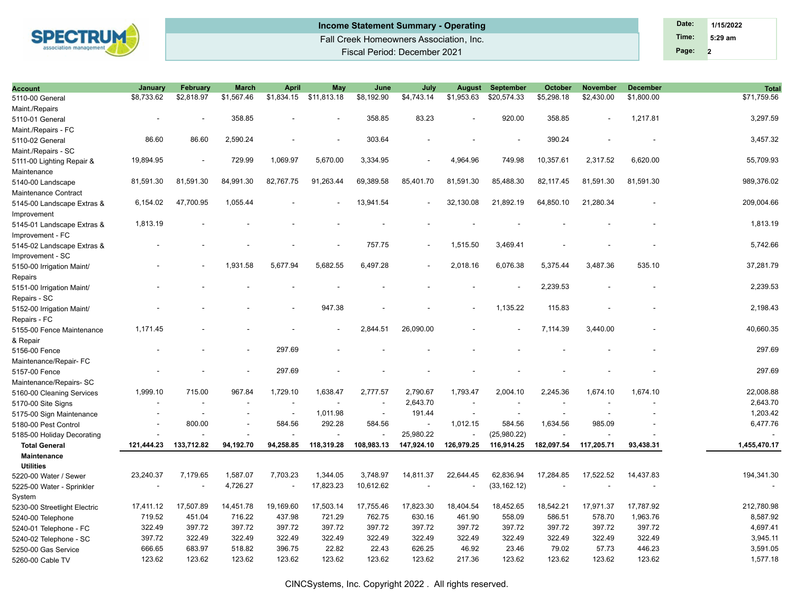

## Fall Creek Homeowners Association, Inc. Fiscal Period: December 2021 **Income Statement Summary - Operating Date: Date: Date: Date: Date: Date: 1/15/2022**

| <b>Account</b>               | January    | February   | <b>March</b> | <b>April</b>             | May         | June           | July       | <b>August</b> | <b>September</b>         | <b>October</b> | <b>November</b> | <b>December</b>          | <b>Total</b> |
|------------------------------|------------|------------|--------------|--------------------------|-------------|----------------|------------|---------------|--------------------------|----------------|-----------------|--------------------------|--------------|
| 5110-00 General              | \$8,733.62 | \$2,818.97 | \$1,567.46   | \$1,834.15               | \$11,813.18 | \$8,192.90     | \$4,743.14 | \$1,953.63    | \$20,574.33              | \$5,298.18     | \$2,430.00      | \$1,800.00               | \$71,759.56  |
| Maint./Repairs               |            |            |              |                          |             |                |            |               |                          |                |                 |                          |              |
| 5110-01 General              |            |            | 358.85       |                          |             | 358.85         | 83.23      |               | 920.00                   | 358.85         |                 | 1,217.81                 | 3,297.59     |
| Maint./Repairs - FC          |            |            |              |                          |             |                |            |               |                          |                |                 |                          |              |
| 5110-02 General              | 86.60      | 86.60      | 2,590.24     |                          |             | 303.64         |            |               |                          | 390.24         |                 |                          | 3,457.32     |
| Maint./Repairs - SC          |            |            |              |                          |             |                |            |               |                          |                |                 |                          |              |
| 5111-00 Lighting Repair &    | 19,894.95  |            | 729.99       | 1,069.97                 | 5,670.00    | 3,334.95       |            | 4,964.96      | 749.98                   | 10,357.61      | 2,317.52        | 6,620.00                 | 55,709.93    |
| Maintenance                  |            |            |              |                          |             |                |            |               |                          |                |                 |                          |              |
| 5140-00 Landscape            | 81,591.30  | 81.591.30  | 84,991.30    | 82.767.75                | 91,263.44   | 69,389.58      | 85.401.70  | 81,591.30     | 85.488.30                | 82,117.45      | 81.591.30       | 81,591.30                | 989,376.02   |
| Maintenance Contract         |            |            |              |                          |             |                |            |               |                          |                |                 |                          |              |
| 5145-00 Landscape Extras &   | 6,154.02   | 47,700.95  | 1,055.44     |                          |             | 13,941.54      |            | 32,130.08     | 21,892.19                | 64,850.10      | 21,280.34       |                          | 209,004.66   |
| Improvement                  |            |            |              |                          |             |                |            |               |                          |                |                 |                          |              |
| 5145-01 Landscape Extras &   | 1,813.19   |            |              |                          |             |                |            |               |                          |                |                 |                          | 1,813.19     |
| Improvement - FC             |            |            |              |                          |             |                |            |               |                          |                |                 |                          |              |
| 5145-02 Landscape Extras &   |            |            |              |                          |             | 757.75         |            | 1,515.50      | 3,469.41                 |                |                 |                          | 5,742.66     |
| Improvement - SC             |            |            |              |                          |             |                |            |               |                          |                |                 |                          |              |
| 5150-00 Irrigation Maint/    |            |            | 1.931.58     | 5.677.94                 | 5,682.55    | 6,497.28       |            | 2,018.16      | 6,076.38                 | 5,375.44       | 3,487.36        | 535.10                   | 37,281.79    |
| Repairs                      |            |            |              |                          |             |                |            |               |                          |                |                 |                          |              |
| 5151-00 Irrigation Maint/    |            |            |              |                          |             |                |            |               |                          | 2,239.53       |                 |                          | 2,239.53     |
| Repairs - SC                 |            |            |              |                          |             |                |            |               |                          |                |                 |                          |              |
| 5152-00 Irrigation Maint/    |            |            |              |                          | 947.38      |                |            |               | 1,135.22                 | 115.83         |                 |                          | 2,198.43     |
| Repairs - FC                 |            |            |              |                          |             |                |            |               |                          |                |                 |                          |              |
| 5155-00 Fence Maintenance    | 1,171.45   |            |              |                          |             | 2,844.51       | 26,090.00  |               |                          | 7,114.39       | 3,440.00        |                          | 40,660.35    |
| & Repair                     |            |            |              |                          |             |                |            |               |                          |                |                 |                          |              |
| 5156-00 Fence                |            |            |              | 297.69                   |             |                |            |               |                          |                |                 |                          | 297.69       |
| Maintenance/Repair- FC       |            |            |              |                          |             |                |            |               |                          |                |                 |                          |              |
| 5157-00 Fence                |            |            |              | 297.69                   |             |                |            |               |                          |                |                 |                          | 297.69       |
| Maintenance/Repairs-SC       |            |            |              |                          |             |                |            |               |                          |                |                 |                          |              |
| 5160-00 Cleaning Services    | 1,999.10   | 715.00     | 967.84       | 1,729.10                 | 1,638.47    | 2,777.57       | 2,790.67   | 1,793.47      | 2,004.10                 | 2,245.36       | 1,674.10        | 1,674.10                 | 22,008.88    |
| 5170-00 Site Signs           |            |            |              | $\overline{\phantom{a}}$ |             |                | 2,643.70   |               | $\overline{\phantom{a}}$ |                |                 |                          | 2,643.70     |
| 5175-00 Sign Maintenance     |            |            |              | $\sim$                   | 1,011.98    | $\overline{a}$ | 191.44     |               | $\sim$                   |                |                 |                          | 1,203.42     |
| 5180-00 Pest Control         |            | 800.00     |              | 584.56                   | 292.28      | 584.56         |            | 1,012.15      | 584.56                   | 1,634.56       | 985.09          |                          | 6,477.76     |
| 5185-00 Holiday Decorating   |            |            |              |                          |             |                | 25,980.22  |               | (25,980.22)              |                |                 |                          |              |
| <b>Total General</b>         | 121,444.23 | 133,712.82 | 94,192.70    | 94,258.85                | 118,319.28  | 108,983.13     | 147,924.10 | 126,979.25    | 116,914.25               | 182,097.54     | 117,205.71      | 93,438.31                | 1,455,470.17 |
| <b>Maintenance</b>           |            |            |              |                          |             |                |            |               |                          |                |                 |                          |              |
| <b>Utilities</b>             |            |            |              |                          |             |                |            |               |                          |                |                 |                          |              |
| 5220-00 Water / Sewer        | 23,240.37  | 7,179.65   | 1,587.07     | 7,703.23                 | 1,344.05    | 3,748.97       | 14,811.37  | 22,644.45     | 62,836.94                | 17,284.85      | 17,522.52       | 14,437.83                | 194,341.30   |
| 5225-00 Water - Sprinkler    |            |            | 4,726.27     |                          | 17,823.23   | 10,612.62      |            |               | (33, 162.12)             |                |                 | $\overline{\phantom{a}}$ | $\sim$       |
| System                       |            |            |              |                          |             |                |            |               |                          |                |                 |                          |              |
| 5230-00 Streetlight Electric | 17,411.12  | 17,507.89  | 14,451.78    | 19,169.60                | 17,503.14   | 17,755.46      | 17,823.30  | 18,404.54     | 18,452.65                | 18,542.21      | 17,971.37       | 17,787.92                | 212,780.98   |
| 5240-00 Telephone            | 719.52     | 451.04     | 716.22       | 437.98                   | 721.29      | 762.75         | 630.16     | 461.90        | 558.09                   | 586.51         | 578.70          | 1,963.76                 | 8,587.92     |
| 5240-01 Telephone - FC       | 322.49     | 397.72     | 397.72       | 397.72                   | 397.72      | 397.72         | 397.72     | 397.72        | 397.72                   | 397.72         | 397.72          | 397.72                   | 4,697.41     |
| 5240-02 Telephone - SC       | 397.72     | 322.49     | 322.49       | 322.49                   | 322.49      | 322.49         | 322.49     | 322.49        | 322.49                   | 322.49         | 322.49          | 322.49                   | 3,945.11     |
| 5250-00 Gas Service          | 666.65     | 683.97     | 518.82       | 396.75                   | 22.82       | 22.43          | 626.25     | 46.92         | 23.46                    | 79.02          | 57.73           | 446.23                   | 3,591.05     |
| 5260-00 Cable TV             | 123.62     | 123.62     | 123.62       | 123.62                   | 123.62      | 123.62         | 123.62     | 217.36        | 123.62                   | 123.62         | 123.62          | 123.62                   | 1,577.18     |
|                              |            |            |              |                          |             |                |            |               |                          |                |                 |                          |              |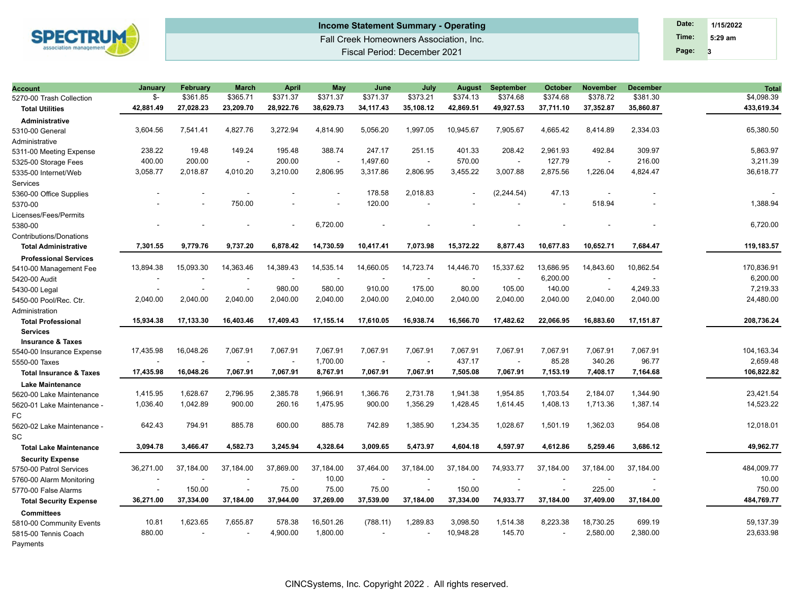

# Fall Creek Homeowners Association, Inc. Fiscal Period: December 2021 **Income Statement Summary - Operating Date: Date: Date: Date: Date: Date: 1/15/2022**

**3 Time: 5:29 am Page:**

| <b>Account</b>                     | January   | February  | <b>March</b>             | <b>April</b>             | May                      | June                     | July      | August    | <b>September</b>         | <b>October</b> | <b>November</b>          | <b>December</b>          | <b>Total</b> |
|------------------------------------|-----------|-----------|--------------------------|--------------------------|--------------------------|--------------------------|-----------|-----------|--------------------------|----------------|--------------------------|--------------------------|--------------|
| 5270-00 Trash Collection           | \$-       | \$361.85  | \$365.71                 | \$371.37                 | \$371.37                 | \$371.37                 | \$373.21  | \$374.13  | \$374.68                 | \$374.68       | \$378.72                 | \$381.30                 | \$4,098.39   |
| <b>Total Utilities</b>             | 42,881.49 | 27,028.23 | 23,209.70                | 28,922.76                | 38,629.73                | 34,117.43                | 35,108.12 | 42,869.51 | 49,927.53                | 37,711.10      | 37,352.87                | 35,860.87                | 433,619.34   |
| <b>Administrative</b>              |           |           |                          |                          |                          |                          |           |           |                          |                |                          |                          |              |
| 5310-00 General                    | 3,604.56  | 7,541.41  | 4,827.76                 | 3,272.94                 | 4,814.90                 | 5,056.20                 | 1,997.05  | 10,945.67 | 7,905.67                 | 4,665.42       | 8,414.89                 | 2,334.03                 | 65,380.50    |
| Administrative                     |           |           |                          |                          |                          |                          |           |           |                          |                |                          |                          |              |
| 5311-00 Meeting Expense            | 238.22    | 19.48     | 149.24                   | 195.48                   | 388.74                   | 247.17                   | 251.15    | 401.33    | 208.42                   | 2,961.93       | 492.84                   | 309.97                   | 5,863.97     |
| 5325-00 Storage Fees               | 400.00    | 200.00    | $\sim$                   | 200.00                   | ÷.                       | 1,497.60                 |           | 570.00    | $\overline{\phantom{a}}$ | 127.79         | $\overline{\phantom{a}}$ | 216.00                   | 3,211.39     |
| 5335-00 Internet/Web               | 3,058.77  | 2,018.87  | 4,010.20                 | 3,210.00                 | 2,806.95                 | 3,317.86                 | 2,806.95  | 3,455.22  | 3,007.88                 | 2,875.56       | 1,226.04                 | 4,824.47                 | 36,618.77    |
| Services                           |           |           |                          |                          |                          |                          |           |           |                          |                |                          |                          |              |
| 5360-00 Office Supplies            |           |           |                          |                          |                          | 178.58                   | 2,018.83  |           | (2, 244.54)              | 47.13          |                          |                          |              |
| 5370-00                            |           |           | 750.00                   |                          | $\overline{a}$           | 120.00                   |           |           |                          |                | 518.94                   |                          | 1,388.94     |
| Licenses/Fees/Permits              |           |           |                          |                          |                          |                          |           |           |                          |                |                          |                          |              |
| 5380-00                            |           |           |                          |                          | 6,720.00                 |                          |           |           |                          |                |                          |                          | 6,720.00     |
| <b>Contributions/Donations</b>     |           |           |                          |                          |                          |                          |           |           |                          |                |                          |                          |              |
| <b>Total Administrative</b>        | 7,301.55  | 9.779.76  | 9.737.20                 | 6.878.42                 | 14.730.59                | 10.417.41                | 7.073.98  | 15.372.22 | 8.877.43                 | 10.677.83      | 10.652.71                | 7,684.47                 | 119.183.57   |
| <b>Professional Services</b>       |           |           |                          |                          |                          |                          |           |           |                          |                |                          |                          |              |
| 5410-00 Management Fee             | 13,894.38 | 15,093.30 | 14,363.46                | 14,389.43                | 14,535.14                | 14,660.05                | 14,723.74 | 14,446.70 | 15,337.62                | 13,686.95      | 14,843.60                | 10,862.54                | 170,836.91   |
| 5420-00 Audit                      |           |           |                          |                          | $\overline{\phantom{a}}$ |                          |           | ÷,        | $\overline{\phantom{a}}$ | 6,200.00       |                          |                          | 6,200.00     |
| 5430-00 Legal                      |           |           | $\sim$                   | 980.00                   | 580.00                   | 910.00                   | 175.00    | 80.00     | 105.00                   | 140.00         | ÷,                       | 4,249.33                 | 7,219.33     |
| 5450-00 Pool/Rec. Ctr.             | 2,040.00  | 2,040.00  | 2,040.00                 | 2,040.00                 | 2,040.00                 | 2,040.00                 | 2,040.00  | 2,040.00  | 2,040.00                 | 2,040.00       | 2,040.00                 | 2,040.00                 | 24,480.00    |
| Administration                     |           |           |                          |                          |                          |                          |           |           |                          |                |                          |                          |              |
| <b>Total Professional</b>          | 15,934.38 | 17,133.30 | 16,403.46                | 17,409.43                | 17,155.14                | 17,610.05                | 16,938.74 | 16,566.70 | 17,482.62                | 22,066.95      | 16,883.60                | 17,151.87                | 208,736.24   |
| <b>Services</b>                    |           |           |                          |                          |                          |                          |           |           |                          |                |                          |                          |              |
| <b>Insurance &amp; Taxes</b>       |           |           |                          |                          |                          |                          |           |           |                          |                |                          |                          |              |
| 5540-00 Insurance Expense          | 17,435.98 | 16,048.26 | 7,067.91                 | 7,067.91                 | 7,067.91                 | 7.067.91                 | 7,067.91  | 7.067.91  | 7,067.91                 | 7,067.91       | 7,067.91                 | 7,067.91                 | 104,163.34   |
| 5550-00 Taxes                      |           |           | $\overline{\phantom{a}}$ | $\overline{\phantom{a}}$ | 1,700.00                 | $\overline{\phantom{a}}$ |           | 437.17    | $\overline{\phantom{a}}$ | 85.28          | 340.26                   | 96.77                    | 2,659.48     |
| <b>Total Insurance &amp; Taxes</b> | 17,435.98 | 16,048.26 | 7,067.91                 | 7,067.91                 | 8,767.91                 | 7,067.91                 | 7,067.91  | 7,505.08  | 7,067.91                 | 7,153.19       | 7,408.17                 | 7,164.68                 | 106,822.82   |
| <b>Lake Maintenance</b>            |           |           |                          |                          |                          |                          |           |           |                          |                |                          |                          |              |
| 5620-00 Lake Maintenance           | 1,415.95  | 1,628.67  | 2,796.95                 | 2,385.78                 | 1,966.91                 | 1,366.76                 | 2,731.78  | 1,941.38  | 1,954.85                 | 1,703.54       | 2,184.07                 | 1,344.90                 | 23,421.54    |
| 5620-01 Lake Maintenance -         | 1,036.40  | 1.042.89  | 900.00                   | 260.16                   | 1,475.95                 | 900.00                   | 1,356.29  | 1,428.45  | 1,614.45                 | 1,408.13       | 1,713.36                 | 1.387.14                 | 14,523.22    |
| FC                                 |           |           |                          |                          |                          |                          |           |           |                          |                |                          |                          |              |
| 5620-02 Lake Maintenance -         | 642.43    | 794.91    | 885.78                   | 600.00                   | 885.78                   | 742.89                   | 1.385.90  | 1.234.35  | 1,028.67                 | 1,501.19       | 1.362.03                 | 954.08                   | 12,018.01    |
| SC                                 |           |           |                          |                          |                          |                          |           |           |                          |                |                          |                          |              |
| <b>Total Lake Maintenance</b>      | 3,094.78  | 3,466.47  | 4,582.73                 | 3,245.94                 | 4,328.64                 | 3,009.65                 | 5,473.97  | 4,604.18  | 4,597.97                 | 4,612.86       | 5,259.46                 | 3,686.12                 | 49,962.77    |
| <b>Security Expense</b>            |           |           |                          |                          |                          |                          |           |           |                          |                |                          |                          |              |
| 5750-00 Patrol Services            | 36,271.00 | 37,184.00 | 37,184.00                | 37,869.00                | 37,184.00                | 37,464.00                | 37,184.00 | 37,184.00 | 74,933.77                | 37,184.00      | 37,184.00                | 37,184.00                | 484,009.77   |
| 5760-00 Alarm Monitoring           |           |           |                          |                          | 10.00                    | $\sim$                   |           |           |                          |                | $\overline{\phantom{a}}$ | $\overline{\phantom{a}}$ | 10.00        |
| 5770-00 False Alarms               |           | 150.00    | $\sim$                   | 75.00                    | 75.00                    | 75.00                    |           | 150.00    | ÷.                       |                | 225.00                   | ÷.                       | 750.00       |
| <b>Total Security Expense</b>      | 36,271.00 | 37,334.00 | 37,184.00                | 37,944.00                | 37,269.00                | 37,539.00                | 37,184.00 | 37,334.00 | 74,933.77                | 37,184.00      | 37,409.00                | 37,184.00                | 484,769.77   |
| <b>Committees</b>                  |           |           |                          |                          |                          |                          |           |           |                          |                |                          |                          |              |
| 5810-00 Community Events           | 10.81     | 1.623.65  | 7.655.87                 | 578.38                   | 16,501.26                | (788.11)                 | 1,289.83  | 3,098.50  | 1,514.38                 | 8,223.38       | 18,730.25                | 699.19                   | 59,137.39    |
| 5815-00 Tennis Coach               | 880.00    |           |                          | 4.900.00                 | 1,800.00                 | $\overline{\phantom{a}}$ |           | 10,948.28 | 145.70                   |                | 2,580.00                 | 2,380.00                 | 23,633.98    |
| Payments                           |           |           |                          |                          |                          |                          |           |           |                          |                |                          |                          |              |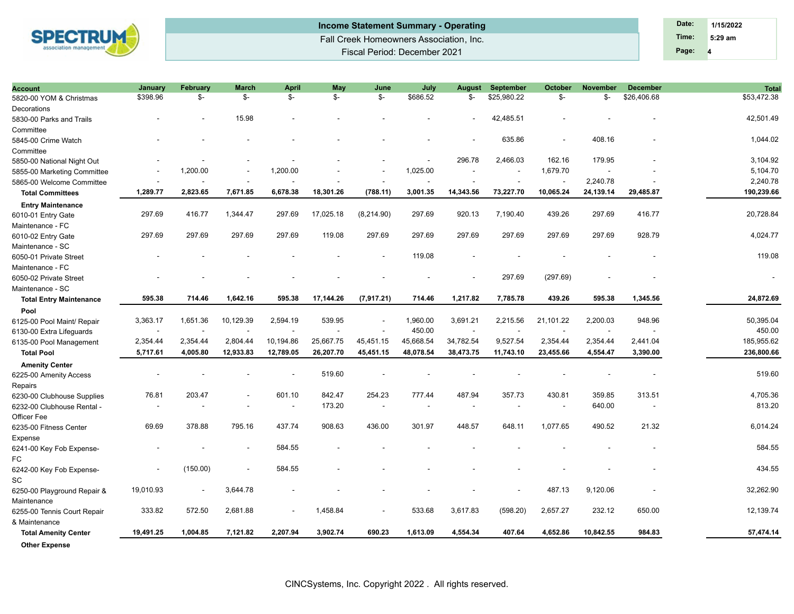

## Fall Creek Homeowners Association, Inc. Fiscal Period: December 2021 **Income Statement Summary - Operating Date: Date: Date: Date: Date: Date: 1/15/2022**

**4 Time: 5:29 am Page:**

| <b>Account</b>                 | January                  | <b>February</b> | <b>March</b> | <b>April</b>             | May            | June       | July      | <b>August</b> | <b>September</b>         | <b>October</b>           | <b>November</b> | <b>December</b>          | <b>Total</b>             |
|--------------------------------|--------------------------|-----------------|--------------|--------------------------|----------------|------------|-----------|---------------|--------------------------|--------------------------|-----------------|--------------------------|--------------------------|
| 5820-00 YOM & Christmas        | \$398.96                 | \$-             | \$-          | \$-                      | $\mathbb{S}^-$ | \$-        | \$686.52  | \$-           | \$25,980.22              | \$-                      | \$-             | \$26,406.68              | \$53,472.38              |
| Decorations                    |                          |                 |              |                          |                |            |           |               |                          |                          |                 |                          |                          |
| 5830-00 Parks and Trails       |                          |                 | 15.98        |                          |                |            |           |               | 42,485.51                |                          |                 |                          | 42,501.49                |
| Committee                      |                          |                 |              |                          |                |            |           |               |                          |                          |                 |                          |                          |
| 5845-00 Crime Watch            |                          |                 |              |                          |                |            |           |               | 635.86                   |                          | 408.16          |                          | 1,044.02                 |
| Committee                      |                          |                 |              |                          |                |            |           |               |                          |                          |                 |                          |                          |
| 5850-00 National Night Out     |                          |                 |              |                          |                |            |           | 296.78        | 2,466.03                 | 162.16                   | 179.95          |                          | 3,104.92                 |
| 5855-00 Marketing Committee    |                          | 1,200.00        |              | 1,200.00                 |                |            | 1,025.00  |               | $\overline{\phantom{a}}$ | 1,679.70                 |                 |                          | 5,104.70                 |
| 5865-00 Welcome Committee      |                          |                 |              |                          |                |            |           |               |                          | $\overline{\phantom{a}}$ | 2,240.78        |                          | 2,240.78                 |
| <b>Total Committees</b>        | 1,289.77                 | 2,823.65        | 7,671.85     | 6,678.38                 | 18,301.26      | (788.11)   | 3,001.35  | 14,343.56     | 73,227.70                | 10,065.24                | 24,139.14       | 29,485.87                | 190,239.66               |
| <b>Entry Maintenance</b>       |                          |                 |              |                          |                |            |           |               |                          |                          |                 |                          |                          |
| 6010-01 Entry Gate             | 297.69                   | 416.77          | 1,344.47     | 297.69                   | 17,025.18      | (8,214.90) | 297.69    | 920.13        | 7,190.40                 | 439.26                   | 297.69          | 416.77                   | 20,728.84                |
| Maintenance - FC               |                          |                 |              |                          |                |            |           |               |                          |                          |                 |                          |                          |
| 6010-02 Entry Gate             | 297.69                   | 297.69          | 297.69       | 297.69                   | 119.08         | 297.69     | 297.69    | 297.69        | 297.69                   | 297.69                   | 297.69          | 928.79                   | 4,024.77                 |
| Maintenance - SC               |                          |                 |              |                          |                |            |           |               |                          |                          |                 |                          |                          |
| 6050-01 Private Street         |                          |                 |              |                          |                |            | 119.08    |               |                          |                          |                 |                          | 119.08                   |
| Maintenance - FC               |                          |                 |              |                          |                |            |           |               |                          |                          |                 |                          |                          |
| 6050-02 Private Street         |                          |                 |              |                          |                |            |           |               | 297.69                   | (297.69)                 |                 |                          | $\overline{\phantom{a}}$ |
| Maintenance - SC               |                          |                 |              |                          |                |            |           |               |                          |                          |                 |                          |                          |
| <b>Total Entry Maintenance</b> | 595.38                   | 714.46          | 1,642.16     | 595.38                   | 17,144.26      | (7,917.21) | 714.46    | 1,217.82      | 7,785.78                 | 439.26                   | 595.38          | 1,345.56                 | 24,872.69                |
| Pool                           |                          |                 |              |                          |                |            |           |               |                          |                          |                 |                          |                          |
| 6125-00 Pool Maint/ Repair     | 3,363.17                 | 1,651.36        | 10,129.39    | 2,594.19                 | 539.95         |            | 1,960.00  | 3,691.21      | 2,215.56                 | 21,101.22                | 2,200.03        | 948.96                   | 50,395.04                |
| 6130-00 Extra Lifeguards       | $\overline{\phantom{a}}$ |                 |              | $\overline{\phantom{a}}$ | ÷,             |            | 450.00    | ÷,            |                          | $\overline{\phantom{a}}$ |                 |                          | 450.00                   |
| 6135-00 Pool Management        | 2,354.44                 | 2,354.44        | 2,804.44     | 10,194.86                | 25,667.75      | 45,451.15  | 45,668.54 | 34,782.54     | 9,527.54                 | 2,354.44                 | 2,354.44        | 2,441.04                 | 185,955.62               |
| <b>Total Pool</b>              | 5,717.61                 | 4,005.80        | 12,933.83    | 12,789.05                | 26,207.70      | 45,451.15  | 48,078.54 | 38,473.75     | 11,743.10                | 23,455.66                | 4,554.47        | 3,390.00                 | 236,800.66               |
| <b>Amenity Center</b>          |                          |                 |              |                          |                |            |           |               |                          |                          |                 |                          |                          |
| 6225-00 Amenity Access         |                          |                 |              |                          | 519.60         |            |           |               |                          |                          |                 |                          | 519.60                   |
| Repairs                        |                          |                 |              |                          |                |            |           |               |                          |                          |                 |                          |                          |
| 6230-00 Clubhouse Supplies     | 76.81                    | 203.47          |              | 601.10                   | 842.47         | 254.23     | 777.44    | 487.94        | 357.73                   | 430.81                   | 359.85          | 313.51                   | 4,705.36                 |
| 6232-00 Clubhouse Rental -     |                          |                 |              | $\overline{\phantom{a}}$ | 173.20         |            |           |               |                          |                          | 640.00          | $\overline{\phantom{a}}$ | 813.20                   |
| Officer Fee                    |                          |                 |              |                          |                |            |           |               |                          |                          |                 |                          |                          |
| 6235-00 Fitness Center         | 69.69                    | 378.88          | 795.16       | 437.74                   | 908.63         | 436.00     | 301.97    | 448.57        | 648.11                   | 1,077.65                 | 490.52          | 21.32                    | 6,014.24                 |
| Expense                        |                          |                 |              |                          |                |            |           |               |                          |                          |                 |                          |                          |
| 6241-00 Key Fob Expense-       |                          |                 |              | 584.55                   |                |            |           |               |                          |                          |                 |                          | 584.55                   |
| FC                             |                          |                 |              |                          |                |            |           |               |                          |                          |                 |                          |                          |
| 6242-00 Key Fob Expense-       |                          | (150.00)        |              | 584.55                   |                |            |           |               |                          |                          |                 |                          | 434.55                   |
| SC                             |                          |                 |              |                          |                |            |           |               |                          |                          |                 |                          |                          |
| 6250-00 Playground Repair &    | 19,010.93                |                 | 3,644.78     |                          |                |            |           |               |                          | 487.13                   | 9,120.06        |                          | 32,262.90                |
| Maintenance                    |                          |                 |              |                          |                |            |           |               |                          |                          |                 |                          |                          |
| 6255-00 Tennis Court Repair    | 333.82                   | 572.50          | 2,681.88     | $\overline{\phantom{a}}$ | 1,458.84       |            | 533.68    | 3,617.83      | (598.20)                 | 2,657.27                 | 232.12          | 650.00                   | 12,139.74                |
| & Maintenance                  |                          |                 |              |                          |                |            |           |               |                          |                          |                 |                          |                          |
| <b>Total Amenity Center</b>    | 19,491.25                | 1,004.85        | 7,121.82     | 2,207.94                 | 3,902.74       | 690.23     | 1,613.09  | 4,554.34      | 407.64                   | 4,652.86                 | 10,842.55       | 984.83                   | 57,474.14                |
| <b>Other Expense</b>           |                          |                 |              |                          |                |            |           |               |                          |                          |                 |                          |                          |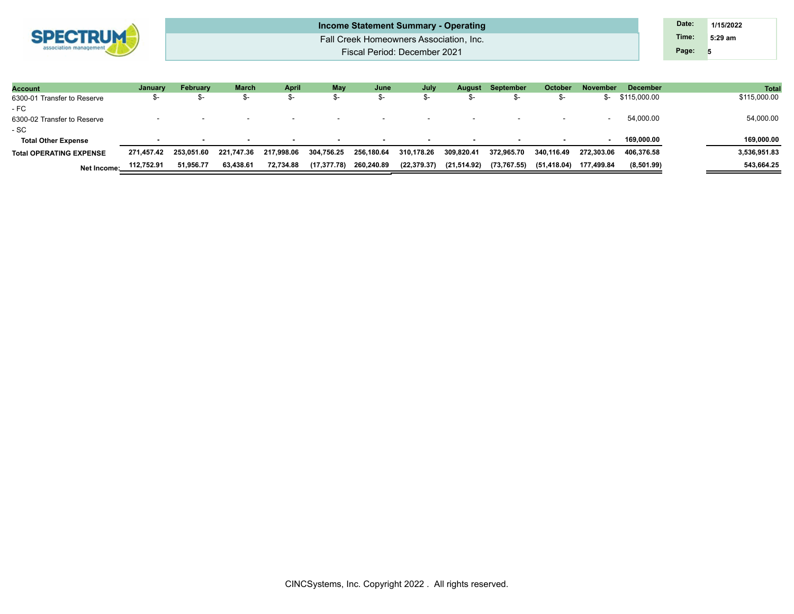| <b>SPECTRUM</b><br>ociation manager |
|-------------------------------------|
|                                     |

| Income Statement Summary - Operating    | Date: | 1/15/2022 |
|-----------------------------------------|-------|-----------|
| Fall Creek Homeowners Association, Inc. | Time: | $5:29$ am |
| Fiscal Period: December 2021            | Page: |           |

| <b>Account</b>                 | January    | <b>February</b> | March      | <b>April</b>             | <b>May</b>   | June       | July         | <b>August</b> | September                | October     | November                 | <b>December</b> | <b>Tota</b>  |
|--------------------------------|------------|-----------------|------------|--------------------------|--------------|------------|--------------|---------------|--------------------------|-------------|--------------------------|-----------------|--------------|
| 6300-01 Transfer to Reserve    | ক-         |                 |            | .ኤ–                      | .ኤ–          | — პი       | ა-           |               |                          |             | m-                       | \$115,000.00    | \$115,000.00 |
| - FC                           |            |                 |            |                          |              |            |              |               |                          |             |                          |                 |              |
| 6300-02 Transfer to Reserve    | . .        |                 | . .        | $\overline{\phantom{0}}$ | $\sim$       | $\sim$     | $\sim$       |               | $\overline{\phantom{0}}$ |             | $\overline{\phantom{a}}$ | 54,000.00       | 54,000.00    |
| - SC                           |            |                 |            |                          |              |            |              |               |                          |             |                          |                 |              |
| <b>Total Other Expense</b>     |            |                 |            | $\overline{\phantom{a}}$ | $\sim$       | $\sim$     | $\sim$       |               |                          |             |                          | 169.000.00      | 169,000.00   |
| <b>Total OPERATING EXPENSE</b> | 271.457.42 | 253.051.60      | 221.747.36 | 217.998.06               | 304,756.25   | 256,180.64 | 310,178.26   | 309,820.41    | 372.965.70               | 340.116.49  | 272.303.06               | 406.376.58      | 3,536,951.83 |
| Net Income:                    | 112,752.91 | 51,956.77       | 63,438.61  | 72,734.88                | (17, 377.78) | 260,240.89 | (22, 379.37) | (21,514.92)   | (73,767.55)              | (51,418.04) | 177,499.84               | (8,501.99)      | 543,664.25   |